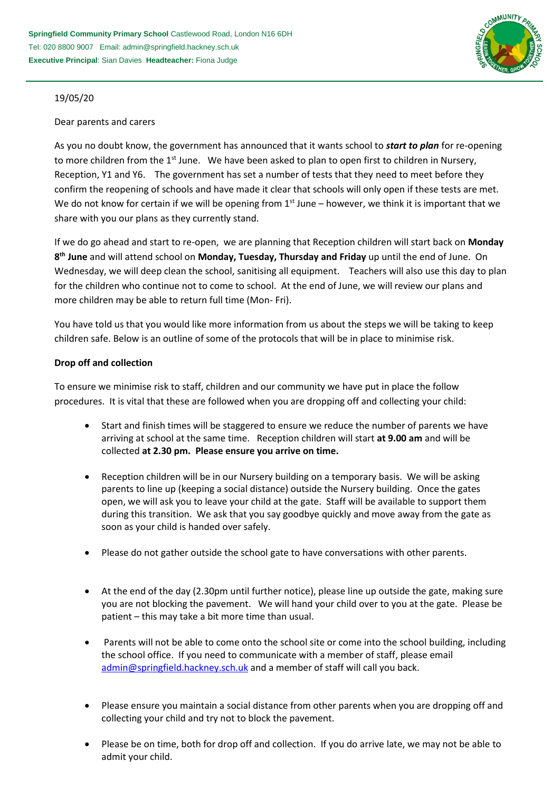

## 19/05/20

### Dear parents and carers

As you no doubt know, the government has announced that it wants school to *start to plan* for re-opening to more children from the 1<sup>st</sup> June. We have been asked to plan to open first to children in Nursery, Reception, Y1 and Y6. The government has set a number of tests that they need to meet before they confirm the reopening of schools and have made it clear that schools will only open if these tests are met. We do not know for certain if we will be opening from  $1<sup>st</sup>$  June – however, we think it is important that we share with you our plans as they currently stand.

If we do go ahead and start to re-open, we are planning that Reception children will start back on **Monday 8 th June** and will attend school on **Monday, Tuesday, Thursday and Friday** up until the end of June. On Wednesday, we will deep clean the school, sanitising all equipment. Teachers will also use this day to plan for the children who continue not to come to school. At the end of June, we will review our plans and more children may be able to return full time (Mon- Fri).

You have told us that you would like more information from us about the steps we will be taking to keep children safe. Below is an outline of some of the protocols that will be in place to minimise risk.

## **Drop off and collection**

To ensure we minimise risk to staff, children and our community we have put in place the follow procedures. It is vital that these are followed when you are dropping off and collecting your child:

- Start and finish times will be staggered to ensure we reduce the number of parents we have arriving at school at the same time. Reception children will start **at 9.00 am** and will be collected **at 2.30 pm. Please ensure you arrive on time.**
- Reception children will be in our Nursery building on a temporary basis. We will be asking parents to line up (keeping a social distance) outside the Nursery building. Once the gates open, we will ask you to leave your child at the gate. Staff will be available to support them during this transition. We ask that you say goodbye quickly and move away from the gate as soon as your child is handed over safely.
- Please do not gather outside the school gate to have conversations with other parents.
- At the end of the day (2.30pm until further notice), please line up outside the gate, making sure you are not blocking the pavement. We will hand your child over to you at the gate. Please be patient – this may take a bit more time than usual.
- Parents will not be able to come onto the school site or come into the school building, including the school office. If you need to communicate with a member of staff, please email [admin@springfield.hackney.sch.uk](mailto:admin@springfield.hackney.sch.uk) and a member of staff will call you back.
- Please ensure you maintain a social distance from other parents when you are dropping off and collecting your child and try not to block the pavement.
- Please be on time, both for drop off and collection. If you do arrive late, we may not be able to admit your child.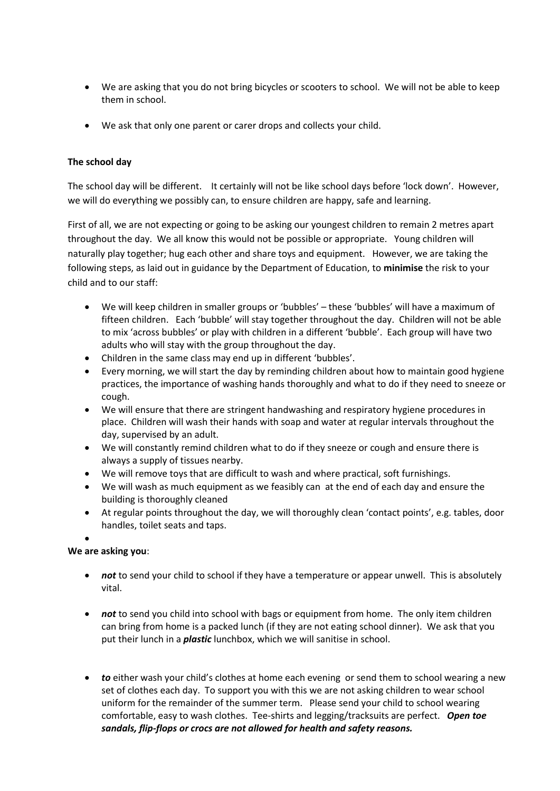- We are asking that you do not bring bicycles or scooters to school. We will not be able to keep them in school.
- We ask that only one parent or carer drops and collects your child.

## **The school day**

The school day will be different. It certainly will not be like school days before 'lock down'. However, we will do everything we possibly can, to ensure children are happy, safe and learning.

First of all, we are not expecting or going to be asking our youngest children to remain 2 metres apart throughout the day. We all know this would not be possible or appropriate. Young children will naturally play together; hug each other and share toys and equipment. However, we are taking the following steps, as laid out in guidance by the Department of Education, to **minimise** the risk to your child and to our staff:

- We will keep children in smaller groups or 'bubbles' these 'bubbles' will have a maximum of fifteen children. Each 'bubble' will stay together throughout the day. Children will not be able to mix 'across bubbles' or play with children in a different 'bubble'. Each group will have two adults who will stay with the group throughout the day.
- Children in the same class may end up in different 'bubbles'.
- Every morning, we will start the day by reminding children about how to maintain good hygiene practices, the importance of washing hands thoroughly and what to do if they need to sneeze or cough.
- We will ensure that there are stringent handwashing and respiratory hygiene procedures in place. Children will wash their hands with soap and water at regular intervals throughout the day, supervised by an adult.
- We will constantly remind children what to do if they sneeze or cough and ensure there is always a supply of tissues nearby.
- We will remove toys that are difficult to wash and where practical, soft furnishings.
- We will wash as much equipment as we feasibly can at the end of each day and ensure the building is thoroughly cleaned
- At regular points throughout the day, we will thoroughly clean 'contact points', e.g. tables, door handles, toilet seats and taps.
- $\bullet$

# **We are asking you**:

- **not** to send your child to school if they have a temperature or appear unwell. This is absolutely vital.
- *not* to send you child into school with bags or equipment from home. The only item children can bring from home is a packed lunch (if they are not eating school dinner). We ask that you put their lunch in a *plastic* lunchbox, which we will sanitise in school.
- *to* either wash your child's clothes at home each evening or send them to school wearing a new set of clothes each day. To support you with this we are not asking children to wear school uniform for the remainder of the summer term. Please send your child to school wearing comfortable, easy to wash clothes. Tee-shirts and legging/tracksuits are perfect. *Open toe sandals, flip-flops or crocs are not allowed for health and safety reasons.*